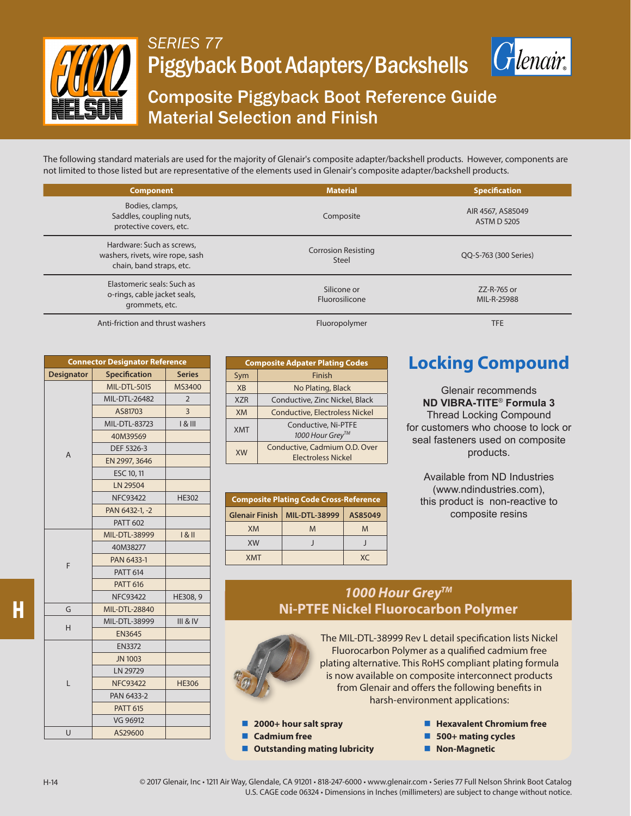

## *SERIES 77* Piggyback Boot Adapters/Backshells



# Composite Piggyback Boot Reference Guide Material Selection and Finish

The following standard materials are used for the majority of Glenair's composite adapter/backshell products. However, components are not limited to those listed but are representative of the elements used in Glenair's composite adapter/backshell products.

| <b>Component</b>                                                                          | <b>Material</b>                            | <b>Specification</b>                    |  |
|-------------------------------------------------------------------------------------------|--------------------------------------------|-----------------------------------------|--|
| Bodies, clamps,<br>Saddles, coupling nuts,<br>protective covers, etc.                     | Composite                                  | AIR 4567, AS85049<br><b>ASTM D 5205</b> |  |
| Hardware: Such as screws,<br>washers, rivets, wire rope, sash<br>chain, band straps, etc. | <b>Corrosion Resisting</b><br><b>Steel</b> | QQ-S-763 (300 Series)                   |  |
| Elastomeric seals: Such as<br>o-rings, cable jacket seals,<br>grommets, etc.              | Silicone or<br>Fluorosilicone              | ZZ-R-765 or<br>MIL-R-25988              |  |

Anti-friction and thrust washers Fluoropolymer Fluoropolymer Fluoropolymer TFE

| <b>Connector Designator Reference</b> |                      |                     |  |  |
|---------------------------------------|----------------------|---------------------|--|--|
| <b>Designator</b>                     | <b>Specification</b> | <b>Series</b>       |  |  |
|                                       | <b>MIL-DTL-5015</b>  | MS3400              |  |  |
|                                       | MIL-DTL-26482        | $\overline{2}$      |  |  |
|                                       | AS81703              | 3                   |  |  |
|                                       | <b>MIL-DTL-83723</b> | 181                 |  |  |
|                                       | 40M39569             |                     |  |  |
| $\overline{A}$                        | DEF 5326-3           |                     |  |  |
|                                       | EN 2997, 3646        |                     |  |  |
|                                       | ESC 10, 11           |                     |  |  |
|                                       | LN 29504             |                     |  |  |
|                                       | <b>NFC93422</b>      | <b>HE302</b>        |  |  |
|                                       | PAN 6432-1, -2       |                     |  |  |
|                                       | <b>PATT 602</b>      |                     |  |  |
|                                       | MIL-DTL-38999        | $1 & 8$ II          |  |  |
|                                       | 40M38277             |                     |  |  |
| F                                     | PAN 6433-1           |                     |  |  |
|                                       | <b>PATT 614</b>      |                     |  |  |
|                                       | <b>PATT 616</b>      |                     |  |  |
|                                       | <b>NFC93422</b>      | HE308, 9            |  |  |
| G                                     | <b>MIL-DTL-28840</b> |                     |  |  |
| H                                     | MIL-DTL-38999        | <b>III &amp; IV</b> |  |  |
|                                       | <b>EN3645</b>        |                     |  |  |
|                                       | <b>EN3372</b>        |                     |  |  |
|                                       | <b>JN 1003</b>       |                     |  |  |
|                                       | LN 29729             |                     |  |  |
| L                                     | <b>NFC93422</b>      | <b>HE306</b>        |  |  |
|                                       | PAN 6433-2           |                     |  |  |
|                                       | <b>PATT 615</b>      |                     |  |  |
|                                       | VG 96912             |                     |  |  |
| U                                     | AS29600              |                     |  |  |

|                      | <b>Composite Adpater Plating Codes</b>                     |  |  |
|----------------------|------------------------------------------------------------|--|--|
| Sym                  | Finish                                                     |  |  |
| <b>X<sub>R</sub></b> | No Plating, Black                                          |  |  |
| <b>XZR</b>           | Conductive, Zinc Nickel, Black                             |  |  |
| <b>XM</b>            | <b>Conductive, Electroless Nickel</b>                      |  |  |
| <b>XMT</b>           | Conductive, Ni-PTFE<br>1000 Hour Grey™                     |  |  |
| <b>XW</b>            | Conductive, Cadmium O.D. Over<br><b>Electroless Nickel</b> |  |  |

| <b>Composite Plating Code Cross-Reference</b> |                      |            |  |  |
|-----------------------------------------------|----------------------|------------|--|--|
| <b>Glenair Finish</b>                         | <b>MIL-DTL-38999</b> | AS85049    |  |  |
| XM                                            | M                    | M          |  |  |
| <b>XW</b>                                     |                      |            |  |  |
| <b>XMT</b>                                    |                      | $X\subset$ |  |  |

### **Locking Compound**

Glenair recommends **ND VIBRA-TITE**® **Formula 3** Thread Locking Compound for customers who choose to lock or seal fasteners used on composite products.

Available from ND Industries (www.ndindustries.com), this product is non-reactive to composite resins

### *1000 Hour GreyTM*  **Ni-PTFE Nickel Fluorocarbon Polymer**



The MIL-DTL-38999 Rev L detail specification lists Nickel Fluorocarbon Polymer as a qualified cadmium free plating alternative. This RoHS compliant plating formula is now available on composite interconnect products from Glenair and offers the following benefits in harsh-environment applications:

- **2000+ hour salt spray**
- **Cadmium free**
- **Outstanding mating lubricity**
- **Hexavalent Chromium free**
- **500+ mating cycles**
- **Non-Magnetic**

H-14